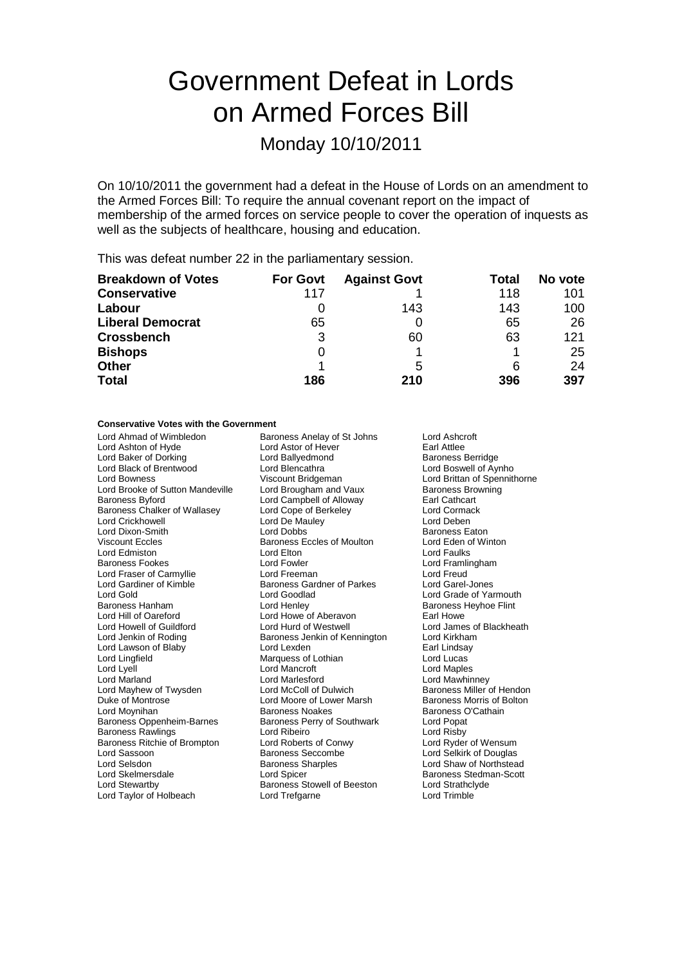# Government Defeat in Lords on Armed Forces Bill

## Monday 10/10/2011

On 10/10/2011 the government had a defeat in the House of Lords on an amendment to the Armed Forces Bill: To require the annual covenant report on the impact of membership of the armed forces on service people to cover the operation of inquests as well as the subjects of healthcare, housing and education.

This was defeat number 22 in the parliamentary session.

| <b>Breakdown of Votes</b> | <b>For Govt</b> | <b>Against Govt</b> | Total | No vote |
|---------------------------|-----------------|---------------------|-------|---------|
| <b>Conservative</b>       | 117             |                     | 118   | 101     |
| Labour                    |                 | 143                 | 143   | 100     |
| <b>Liberal Democrat</b>   | 65              |                     | 65    | 26      |
| <b>Crossbench</b>         | 3               | 60                  | 63    | 121     |
| <b>Bishops</b>            | 0               |                     |       | 25      |
| <b>Other</b>              |                 | 5                   | 6     | 24      |
| <b>Total</b>              | 186             | 210                 | 396   | 397     |

## **Conservative Votes with the Government**

Lord Ashton of Hyde **Lord Astor of Hever** Earl Attlee<br>
Lord Baker of Dorking **Corporation** Lord Ballyedmond **Example 2018** Baroness Berridge Lord Baker of Dorking **Lord Ballyedmond Baker of Dorking**<br> **Lord Black of Brentwood** Lord Blencathra Lord Bowness<br>
Lord Brooke of Sutton Mandeville 
Lord Brougham and Vaux

Lord Brooke of Sutton Mandeville

Lord Brooke of Sutton Mandeville

Lord Brooke of Sutton Mandeville

Lord Brooke of Sutton Mandeville

Lord Brooke Lord Brooke of Sutton Mandeville Lord Brougham and Vaux Baroness Browness Browness Browness Browness Browness Browness Browness Browness Browness Browness Browness Browness Browness Browness Browness Browness Browness Brow Baroness Chalker of Wallasey Lord Cope of Berkeley Corporation Lord Cormack<br>
Lord Crickhowell Lord De Mauley Lord Deben Lord Dixon-Smith Viscount Eccles Baroness Eccles of Moulton Lord Eden of Winton Lord Edmiston Lord Elton Lord Faulks Baroness Fookes **Lord Fowler** Lord Fowler **Lord Example 1** Lord Framlingham<br>
Lord Fraser of Carmyllie **Lord Freeman** Lord Cord Cord Freud Lord Fraser of Carmyllie Lord Freeman Lord Freud Lord Freud Cord Freud Cord Freud Lord Garel-Jones<br>Lord Gardiner of Kimble Raroness Gardner of Parkes Lord Garel-Jones Lord Gardiner of Kimble<br>
Lord Gold<br>
Lord Goodlad Baroness Hanham Lord Henley Baroness Heyhoe Flint Lord Howell of Guildford Lord Hurd of Westwell Lord Hurd Devices Lord James of Almes<br>Lord Jenkin of Roding **Baroness Jenkin of Kennington** Lord Kirkham Lord Lawson of Blaby<br>Lord Lingfield Lord Lingfield **Container Container Marquess of Lothian** Cord Lucas Lord Lucas<br>Cord Lyell Lord Maples Lord Mancroft Lord Maples Lord Lyell Lord Mancroft Lord Maples Lord Mayhew of Twysden Duke of Montrose **Lord Moore of Lower Marsh** Baroness Morris of Bolton<br>
Lord Movnihan **Baroness Noakes** Baroness Noakes Baroness O'Cathain Baroness Oppenheim-Barnes Baroness Perry of Southwark Lord Popat<br>Baroness Rawlings **Baroness Lord Ribeiro** Lord Risby Baroness Rawlings **Lord Ribeiro** Lord Ribeiro **Lord Risby**<br>
Baroness Ritchie of Brompton Lord Roberts of Conwy Lord Ryder of Wensum Baroness Ritchie of Brompton Lord Roberts of Conwy<br>
Lord Sassoon Computer of Baroness Seccombe Lord Sassoon **Baroness Seccombe** Lord Selkirk of Douglas<br>
Lord Selsdon **Baroness Sharoles** Lord Shaw of Northstea Lord Selsdon **Baroness Sharples** Lord Shaw of Northstead Lord Shaw of Northstead Lord Shaw of Northstead Lord Shaw of Northstead Lord Shaw of Northstead Lord Shaw of Northstead Lord Shaw of Northstead Lord Shaw of Northste Lord Skelmersdale **Lord Spicer** Lord Spicer **Baroness Stedman-Scott**<br>
Lord Stewartby **Consumers Stewell** of Beeston **Lord Strathclyde** Lord Taylor of Holbeach

Lord Ahmad of Wimbledon Baroness Anelay of St Johns Lord Ashcroft<br>
Lord Ashton of Hyde Lord Astor of Hever Earl Attlee Lord Campbell of Alloway Lord De Mauley **Lord Deben**<br>
Lord Dobbs<br>
Lord Dobbs Lord Howe of Aberavon<br>
Lord Hurd of Westwell 
Lord James of Blackheath Baroness Jenkin of Kennington Lord Kirkham<br>Lord Lexden Lord Earl Lindsay Lord Marlesford<br>
Lord McColl of Dulwich<br>
Baroness Miller of Hendon Baroness Noakes<br>
Baroness Perry of Southwark<br>
Lord Popat Baroness Stowell of Beeston Lord Strathcl<br>
Lord Trefgarne Lord Trimble

Lord Boswell of Aynho Lord Grade of Yarmouth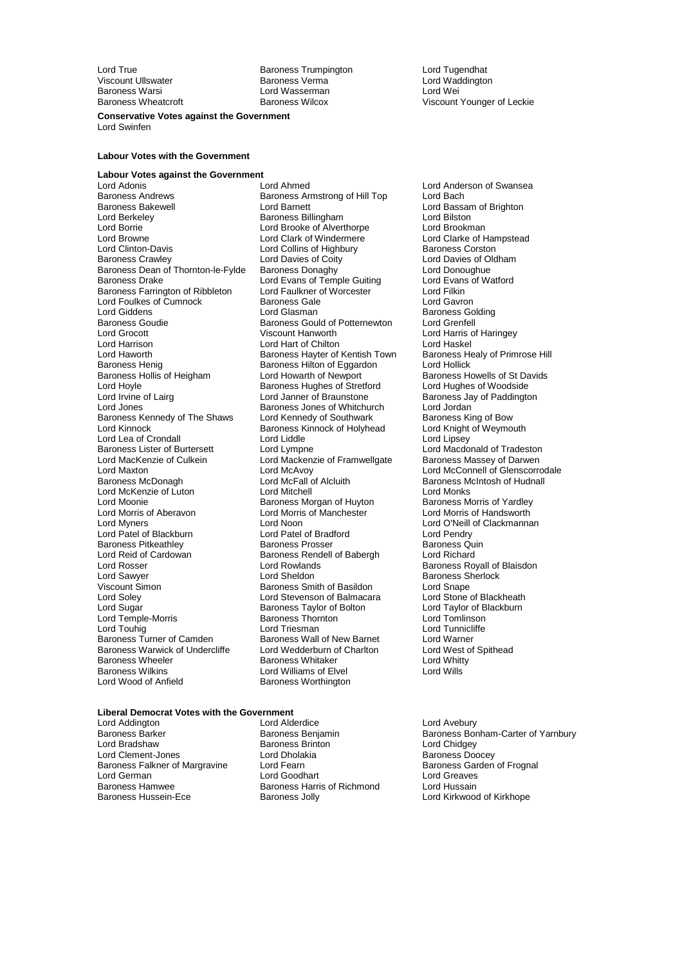Lord True **Communist Communist Communist Communist Communist Communist Communist Communist Communist Communist Communist Communist Communist Communist Communist Communist Communist Communist Communist Communist Communist C** Viscount Ullswater Baroness Verma Lord Waddington Lord Wasserman

Baroness Wheatcroft **Baroness Wilcox** Baroness Wilcox Viscount Younger of Leckie

**Conservative Votes against the Government** Lord Swinfen

#### **Labour Votes with the Government**

## **Labour Votes against the Government**

Baroness Andrews **Baroness Armstrong of Hill Top**<br>Baroness Bakewell **Baroness** Lord Barnett Baroness Bakewell **Lord Baroness Bakewell** Lord Baroness Billingham **Lord Bassam of Brighton**<br>
Lord Berkeley **Baroness Billingham** Lord Bilston Lord Borrie **Lord Brooke of Alverthorpe** Lord Brookman<br>
Lord Browne **Lord Clark of Windermere** Lord Clarke of Hampstead Lord Browne **Lord Clark of Windermere** Lord Clarke of Hampster Clark of Windermere Lord Clarke of Hampstead Clarke of Hampstead Lord Clarke of Hampstead Lord Clarke of Hampstead Lord Clarke of Hampstead Lord Collins of Hig Lord Clinton-Davis Lord Collins of Highbury<br>
Baroness Crawley Lord Davies of Coity Baroness Dean of Thornton-le-Fylde Baroness Donaghy<br>Baroness Drake Lord Evans of Temple Guiting Lord Evans of Watford Baroness Farrington of Ribbleton Lord Faulkner of Worcester The Lord Filkin<br>Lord Foulkes of Cumnock Lord Baroness Gale Lord Foulkes of Cumnock<br>
Lord Giddens<br>
Lord Glasman Lord Giddens **Collact Communist Condition**<br>Baroness Goudie **Baroness Gould of Potternewton** Lord Grenfell Baroness Goudie Baroness Gould of Potternewton<br>
Lord Grocott Creative Baroness Gould of Potternewton Lord Grocott Lord Grocott Lord Grocott Lord Grocott Lord Grocott Lord Harris Cord Harris of Haringey<br>
Lord Harris on Lord Harris Lord Harris Cord Harris Cord Harris of Harris Cord Harris Cord Harris Cord Harris C Lord Haworth **Baroness Hayter of Kentish Town** Baroness Henrich Baroness Healy Baroness Healy Baroness Hilton of Equardon Baroness Henig<br>Baroness Henig Baroness Hilton of Eggardon<br>Baroness Hollis of Heigham<br>Lord Howarth of Newport Baroness Hollis of Heigham Lord Howarth of Newport Baroness Howells of St Davids<br>Lord Hoyle Cord Hughes of Stretford Lord Hughes of Woodside Lord Hoyle **Baroness Hughes of Stretford**<br>
Lord Irvine of Lairq<br>
Lord Janner of Braunstone Lord Irvine of Lairg **Lord Lord Janner of Braunstone** Baroness Jay of Paddington<br>
Lord Jones **Baroness Jones of Whitchurch** Lord Jordan Baroness Kennedy of The Shaws Lord Kennedy of Southwark Baroness King of Bow<br>
Lord Kinnock Baroness Kinnock of Holyhead Lord Knight of Weymouth Lord Kinnock **Example Baroness Kinnock of Holyhead** Lord Knight Lord Conditional Lord Conditional Lord Lipsev<br>
Lord Lea of Crondall **Conditional Lord Lipsev** Lord Lea of Crondall **Lord Liddle**<br> **Baroness Lister of Burtersett** 
Lord Lympne Baroness Lister of Burtersett Lord Lympne Lord Macdonald of Tradeston<br>Lord MacKenzie of Culkein Lord Mackenzie of Framwellgate Baroness Massey of Darwen Lord MacKenzie of Culkein Lord Mackenzie of Framwellgate<br>Lord Maxton Lord McAvoy<br>Baroness McDonagh Cord McFall of Alcluith Lord Maxton Lord McAvoy Lord McAvoy Lord McConnell of Glenscorrodale<br>
Baroness McDonagh Lord McFall of Alcluith Baroness McIntosh of Hudnall Lord McKenzie of Luton Lord Mitchell Lord Menks<br>Lord Moonie Cord Moncess Morgan of Huyton Baroness Morris of Yardley Lord Moonie **Baroness Morgan of Huyton** Baroness Morris of Yardley<br>
Lord Morris of Aberavon **Baroness Morris of Manchester** Lord Morris of Handsworth Lord Morris of Aberavon<br>
Lord Morris of Manchester<br>
Lord Moon Lord Patel of Blackburn Lord Patel of Bradford Lord Pendry Baroness Pitkeathley **Baroness Prosser Baroness Baroness Quin**<br>
Lord Reid of Cardowan Baroness Rendell of Babergh Lord Richard Lord Reid of Cardowan Baroness Rendell of Babergh Lord Research Lord Rendell of Babergh Lord Rosser **Lord Rowlands** Baroness Royall of Blaisdon<br>
Lord Sawyer Lord Sheldon<br>
Lord Sawyer **Baroness Sherlock** Lord Sawyer Lord Sheldon Baroness Sherlock<br>Communist Communist Control Baroness Smith of Basildon Lord Shape Viscount Simon **Baroness Smith of Basildon** Lord Snape<br>
Lord Soley **Lord Stevenson of Balmacara** Lord Stone of Blackheath Lord Soley<br>
Lord Stevenson of Balmacara Lord Stone of Blackheath<br>
Lord Sugar Baroness Taylor of Bolton Lord Taylor of Blackburn Lord Temple-Morris Baroness Thornton Lord Tomlinson Lord Touhig Lord Triesman Lord Tunnicliffe Baroness Turner of Camden Baroness Wall of New Barnet Lord Warner Baroness Warwick of Undercliffe Lord Wedderburn of Charlton Lord West of Spithead<br>Baroness Wheeler Baroness Whitaker Lord Whitty er Baroness Wheeler Baroness Whitaker Lord Whitt<br>Baroness Wilkins Lord Williams of Elvel Lord Wills Baroness Wilkins **Communist Communist Communist Communist Communist Communist Communist Communist Communist Communist Communist Communist Communist Communist Communist Communist Communist Communist Communist Communist Comm** 

Lord Adonis **Lord Ahmed** Lord Ahmed Lord Anderson of Swansea<br>
Baroness Andrews **Baroness Armstrong of Hill Top** Lord Bach Baroness Billingham Lord Davies of Coity<br>
Baroness Donaghy<br>
Lord Donoughue<br>
Lord Donoughue **Lord Evans of Temple Guiting Lord Evans Lord Evans Cord Filkin**<br>
Lord Faulkner of Worcester Lord Filkin Lord Hart of Chilton Lord Haskel<br>
Baroness Hayter of Kentish Town Baroness Healy of Primrose Hill Lord Jones Baroness Jones of Whitchurch Lord Jordan Lord McFall of Alcluith Baroness McIntosh of Hudnall<br>
Lord Mitchell Cord Monks Lord Noon<br>
Lord Noon Lord O'Neill of Clackmannan<br>
Lord Pandry Baroness Taylor of Bolton **Lord Taylor of Bolton Lord Taylor of B**<br>Baroness Thornton **Lord Tomlinson** Baroness Worthington

## **Liberal Democrat Votes with the Government**<br>Lord Addington Lord Alderdice

Lord Bradshaw Baroness Brinton<br>
Lord Clement-Jones Cord Dholakia Lord Clement-Jones Lord Dholakia Baroness Doocey Baroness Falkner of Margravine Lord Fearn Baroness Garness Garden Baroness Garden Baroness Garden Baroness Gar<br>
Lord German Baroness Corporation Baroness Corporation Corporation Corporation Baroness Careaves Lord German Lord Goodhart Lord Greaves<br>
Baroness Hammen Baroness Harris of Richmond Lord Hussain Baroness Hamwee<br>Baroness Hussein-Ece Baroness Jolly<br>Baroness Jolly

Lord Addington Lord Alderdice Lord Avebury<br>
Baroness Barker Baroness Benjamin Baroness Borress Borress Borress Borress Borress Borress Borress Borress Bor

Baroness Bonham-Carter of Yarnbury<br>Lord Chidgey<br>Baroness Doocey Lord Kirkwood of Kirkhope